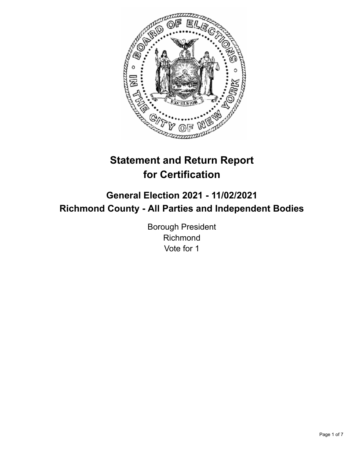

# **Statement and Return Report for Certification**

## **General Election 2021 - 11/02/2021 Richmond County - All Parties and Independent Bodies**

Borough President Richmond Vote for 1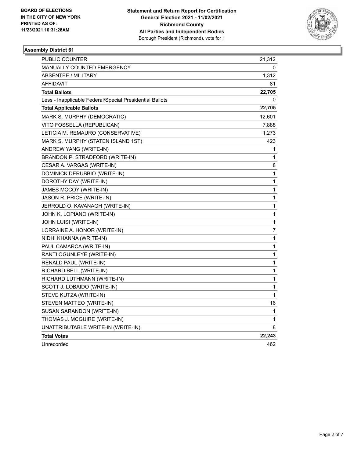

| PUBLIC COUNTER                                           | 21,312       |
|----------------------------------------------------------|--------------|
| <b>MANUALLY COUNTED EMERGENCY</b>                        | 0            |
| <b>ABSENTEE / MILITARY</b>                               | 1,312        |
| <b>AFFIDAVIT</b>                                         | 81           |
| <b>Total Ballots</b>                                     | 22,705       |
| Less - Inapplicable Federal/Special Presidential Ballots | 0            |
| <b>Total Applicable Ballots</b>                          | 22,705       |
| MARK S. MURPHY (DEMOCRATIC)                              | 12,601       |
| VITO FOSSELLA (REPUBLICAN)                               | 7,888        |
| LETICIA M. REMAURO (CONSERVATIVE)                        | 1,273        |
| MARK S. MURPHY (STATEN ISLAND 1ST)                       | 423          |
| ANDREW YANG (WRITE-IN)                                   | 1            |
| BRANDON P. STRADFORD (WRITE-IN)                          | 1            |
| CESAR A. VARGAS (WRITE-IN)                               | 8            |
| DOMINICK DERUBBIO (WRITE-IN)                             | 1            |
| DOROTHY DAY (WRITE-IN)                                   | 1            |
| JAMES MCCOY (WRITE-IN)                                   | 1            |
| JASON R. PRICE (WRITE-IN)                                | 1            |
| JERROLD O. KAVANAGH (WRITE-IN)                           | 1            |
| JOHN K. LOPIANO (WRITE-IN)                               | 1            |
| JOHN LUISI (WRITE-IN)                                    | 1            |
| LORRAINE A. HONOR (WRITE-IN)                             | 7            |
| NIDHI KHANNA (WRITE-IN)                                  | 1            |
| PAUL CAMARCA (WRITE-IN)                                  | 1            |
| RANTI OGUNLEYE (WRITE-IN)                                | 1            |
| RENALD PAUL (WRITE-IN)                                   | 1            |
| RICHARD BELL (WRITE-IN)                                  | $\mathbf{1}$ |
| RICHARD LUTHMANN (WRITE-IN)                              | 1            |
| SCOTT J. LOBAIDO (WRITE-IN)                              | 1            |
| STEVE KUTZA (WRITE-IN)                                   | 1            |
| STEVEN MATTEO (WRITE-IN)                                 | 16           |
| SUSAN SARANDON (WRITE-IN)                                | 1            |
| THOMAS J. MCGUIRE (WRITE-IN)                             | 1            |
| UNATTRIBUTABLE WRITE-IN (WRITE-IN)                       | 8            |
| <b>Total Votes</b>                                       | 22,243       |
| Unrecorded                                               | 462          |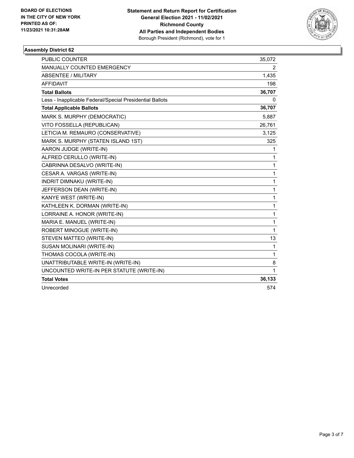

| <b>PUBLIC COUNTER</b>                                    | 35,072                |
|----------------------------------------------------------|-----------------------|
| <b>MANUALLY COUNTED EMERGENCY</b>                        | $\mathbf{2}^{\prime}$ |
| ABSENTEE / MILITARY                                      | 1,435                 |
| <b>AFFIDAVIT</b>                                         | 198                   |
| <b>Total Ballots</b>                                     | 36,707                |
| Less - Inapplicable Federal/Special Presidential Ballots | 0                     |
| <b>Total Applicable Ballots</b>                          | 36,707                |
| MARK S. MURPHY (DEMOCRATIC)                              | 5,887                 |
| VITO FOSSELLA (REPUBLICAN)                               | 26,761                |
| LETICIA M. REMAURO (CONSERVATIVE)                        | 3,125                 |
| MARK S. MURPHY (STATEN ISLAND 1ST)                       | 325                   |
| AARON JUDGE (WRITE-IN)                                   | 1                     |
| ALFRED CERULLO (WRITE-IN)                                | 1                     |
| CABRINNA DESALVO (WRITE-IN)                              | 1                     |
| CESAR A. VARGAS (WRITE-IN)                               | 1                     |
| <b>INDRIT DIMNAKU (WRITE-IN)</b>                         | 1                     |
| JEFFERSON DEAN (WRITE-IN)                                | 1                     |
| KANYE WEST (WRITE-IN)                                    | 1                     |
| KATHLEEN K. DORMAN (WRITE-IN)                            | 1                     |
| LORRAINE A. HONOR (WRITE-IN)                             | 1                     |
| MARIA E. MANUEL (WRITE-IN)                               | 1                     |
| ROBERT MINOGUE (WRITE-IN)                                | $\mathbf{1}$          |
| STEVEN MATTEO (WRITE-IN)                                 | 13                    |
| SUSAN MOLINARI (WRITE-IN)                                | 1                     |
| THOMAS COCOLA (WRITE-IN)                                 | 1                     |
| UNATTRIBUTABLE WRITE-IN (WRITE-IN)                       | 8                     |
| UNCOUNTED WRITE-IN PER STATUTE (WRITE-IN)                | 1                     |
| <b>Total Votes</b>                                       | 36,133                |
| Unrecorded                                               | 574                   |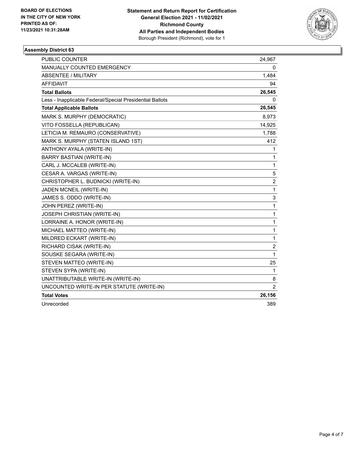

| <b>PUBLIC COUNTER</b>                                    | 24,967         |
|----------------------------------------------------------|----------------|
| MANUALLY COUNTED EMERGENCY                               | 0              |
| <b>ABSENTEE / MILITARY</b>                               | 1,484          |
| AFFIDAVIT                                                | 94             |
| <b>Total Ballots</b>                                     | 26,545         |
| Less - Inapplicable Federal/Special Presidential Ballots | 0              |
| <b>Total Applicable Ballots</b>                          | 26,545         |
| MARK S. MURPHY (DEMOCRATIC)                              | 8,973          |
| VITO FOSSELLA (REPUBLICAN)                               | 14,925         |
| LETICIA M. REMAURO (CONSERVATIVE)                        | 1,788          |
| MARK S. MURPHY (STATEN ISLAND 1ST)                       | 412            |
| ANTHONY AYALA (WRITE-IN)                                 | 1              |
| <b>BARRY BASTIAN (WRITE-IN)</b>                          | 1              |
| CARL J. MCCALEB (WRITE-IN)                               | 1              |
| CESAR A. VARGAS (WRITE-IN)                               | 5              |
| CHRISTOPHER L. BUDNICKI (WRITE-IN)                       | 2              |
| JADEN MCNEIL (WRITE-IN)                                  | 1              |
| JAMES S. ODDO (WRITE-IN)                                 | 3              |
| JOHN PEREZ (WRITE-IN)                                    | 1              |
| JOSEPH CHRISTIAN (WRITE-IN)                              | 1              |
| LORRAINE A. HONOR (WRITE-IN)                             | 1              |
| MICHAEL MATTEO (WRITE-IN)                                | 1              |
| MILDRED ECKART (WRITE-IN)                                | 1              |
| RICHARD CISAK (WRITE-IN)                                 | $\overline{c}$ |
| SOUSKE SEGARA (WRITE-IN)                                 | 1              |
| STEVEN MATTEO (WRITE-IN)                                 | 25             |
| STEVEN SYPA (WRITE-IN)                                   | 1              |
| UNATTRIBUTABLE WRITE-IN (WRITE-IN)                       | 8              |
| UNCOUNTED WRITE-IN PER STATUTE (WRITE-IN)                | $\overline{2}$ |
| <b>Total Votes</b>                                       | 26,156         |
| Unrecorded                                               | 389            |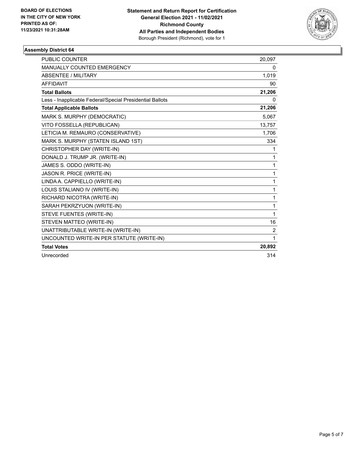

| PUBLIC COUNTER                                           | 20,097 |
|----------------------------------------------------------|--------|
| MANUALLY COUNTED EMERGENCY                               | 0      |
| <b>ABSENTEE / MILITARY</b>                               | 1,019  |
| <b>AFFIDAVIT</b>                                         | 90     |
| <b>Total Ballots</b>                                     | 21,206 |
| Less - Inapplicable Federal/Special Presidential Ballots | 0      |
| <b>Total Applicable Ballots</b>                          | 21,206 |
| MARK S. MURPHY (DEMOCRATIC)                              | 5,067  |
| VITO FOSSELLA (REPUBLICAN)                               | 13,757 |
| LETICIA M. REMAURO (CONSERVATIVE)                        | 1,706  |
| MARK S. MURPHY (STATEN ISLAND 1ST)                       | 334    |
| CHRISTOPHER DAY (WRITE-IN)                               | 1      |
| DONALD J. TRUMP JR. (WRITE-IN)                           | 1      |
| JAMES S. ODDO (WRITE-IN)                                 | 1      |
| JASON R. PRICE (WRITE-IN)                                | 1      |
| LINDA A. CAPPIELLO (WRITE-IN)                            | 1      |
| LOUIS STALIANO IV (WRITE-IN)                             | 1      |
| RICHARD NICOTRA (WRITE-IN)                               | 1      |
| SARAH PEKRZYUON (WRITE-IN)                               | 1      |
| STEVE FUENTES (WRITE-IN)                                 | 1      |
| STEVEN MATTEO (WRITE-IN)                                 | 16     |
| UNATTRIBUTABLE WRITE-IN (WRITE-IN)                       | 2      |
| UNCOUNTED WRITE-IN PER STATUTE (WRITE-IN)                | 1      |
| <b>Total Votes</b>                                       | 20,892 |
| Unrecorded                                               | 314    |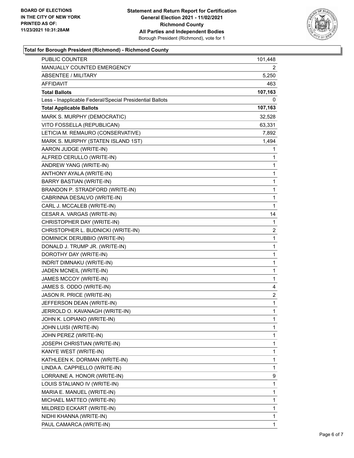

### **Total for Borough President (Richmond) - Richmond County**

| <b>PUBLIC COUNTER</b>                                    | 101,448 |
|----------------------------------------------------------|---------|
| MANUALLY COUNTED EMERGENCY                               | 2       |
| ABSENTEE / MILITARY                                      | 5,250   |
| AFFIDAVIT                                                | 463     |
| <b>Total Ballots</b>                                     | 107,163 |
| Less - Inapplicable Federal/Special Presidential Ballots | 0       |
| <b>Total Applicable Ballots</b>                          | 107,163 |
| MARK S. MURPHY (DEMOCRATIC)                              | 32,528  |
| VITO FOSSELLA (REPUBLICAN)                               | 63,331  |
| LETICIA M. REMAURO (CONSERVATIVE)                        | 7,892   |
| MARK S. MURPHY (STATEN ISLAND 1ST)                       | 1,494   |
| AARON JUDGE (WRITE-IN)                                   | 1       |
| ALFRED CERULLO (WRITE-IN)                                | 1       |
| ANDREW YANG (WRITE-IN)                                   | 1       |
| ANTHONY AYALA (WRITE-IN)                                 | 1       |
| BARRY BASTIAN (WRITE-IN)                                 | 1       |
| BRANDON P. STRADFORD (WRITE-IN)                          | 1       |
| CABRINNA DESALVO (WRITE-IN)                              | 1       |
| CARL J. MCCALEB (WRITE-IN)                               | 1       |
| CESAR A. VARGAS (WRITE-IN)                               | 14      |
| CHRISTOPHER DAY (WRITE-IN)                               | 1       |
| CHRISTOPHER L. BUDNICKI (WRITE-IN)                       | 2       |
| DOMINICK DERUBBIO (WRITE-IN)                             | 1       |
| DONALD J. TRUMP JR. (WRITE-IN)                           | 1       |
| DOROTHY DAY (WRITE-IN)                                   | 1       |
| INDRIT DIMNAKU (WRITE-IN)                                | 1       |
| JADEN MCNEIL (WRITE-IN)                                  | 1       |
| JAMES MCCOY (WRITE-IN)                                   | 1       |
| JAMES S. ODDO (WRITE-IN)                                 | 4       |
| JASON R. PRICE (WRITE-IN)                                | 2       |
| JEFFERSON DEAN (WRITE-IN)                                | 1       |
| JERROLD O. KAVANAGH (WRITE-IN)                           | 1       |
| JOHN K. LOPIANO (WRITE-IN)                               | 1       |
| JOHN LUISI (WRITE-IN)                                    | 1       |
| JOHN PEREZ (WRITE-IN)                                    | 1       |
| JOSEPH CHRISTIAN (WRITE-IN)                              | 1       |
| KANYE WEST (WRITE-IN)                                    | 1       |
| KATHLEEN K. DORMAN (WRITE-IN)                            | 1       |
| LINDA A. CAPPIELLO (WRITE-IN)                            | 1       |
| LORRAINE A. HONOR (WRITE-IN)                             | 9       |
| LOUIS STALIANO IV (WRITE-IN)                             | 1       |
| MARIA E. MANUEL (WRITE-IN)                               | 1       |
| MICHAEL MATTEO (WRITE-IN)                                | 1       |
| MILDRED ECKART (WRITE-IN)                                | 1       |
| NIDHI KHANNA (WRITE-IN)                                  | 1       |
| PAUL CAMARCA (WRITE-IN)                                  | 1       |